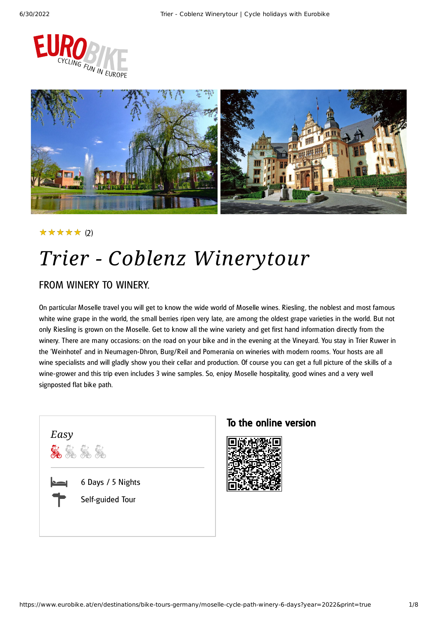



#### (2) ★★★★★

# *Trier - Coblenz Winerytour*

### FROM WINERY TO WINERY.

On particular Moselle travel you will get to know the wide world of Moselle wines. Riesling , the noblest and most famous white wine grape in the world, the small berries ripen very late, are among the oldest grape varieties in the world. But not only Riesling is grown on the Moselle. Get to know all the wine variety and get first hand information directly from the winery. There are many occasions: on the road on your bike and in the evening at the Vineyard. You stay in Trier Ruwer in the 'Weinhotel' and in Neumagen-Dhron, Burg/Reil and Pomerania on wineries with modern rooms. Your hosts are all wine specialists and will gladly show you their cellar and production. Of course you can get a full picture of the skills of a wine-grower and this trip even includes 3 wine samples. So, enjoy Moselle hospitality, good wines and a very well signposted flat bike path.



#### To the online version

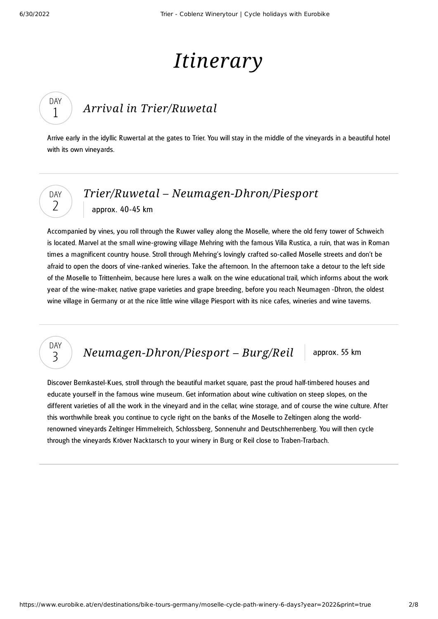# *Itinerary*

### *Arrival in [Trier/Ruwetal](#page-1-0)*

<span id="page-1-0"></span>Arrive early in the idyllic Ruwertal at the gates to Trier. You will stay in the middle of the vineyards in a beautiful hotel with its own vineyards.

### DAY  $\overline{\phantom{0}}$

DAY 3

DAY 1

### *Trier/Ruwetal – [Neumagen-Dhron/Piesport](#page-1-1)* approx. 40-45 km

<span id="page-1-1"></span>Accompanied by vines, you roll through the Ruwer valley along the Moselle, where the old ferry tower of Schweich is located. Marvel at the small wine-growing village Mehring with the famous Villa Rustica, a ruin, that was in Roman times a magnificent country house. Stroll through Mehring's lovingly crafted so-called Moselle streets and don't be afraid to open the doors of vine-ranked wineries. Take the afternoon. In the afternoon take a detour to the left side of the Moselle to Trittenheim, because here lures a walk on the wine educational trail, which informs about the work year of the wine-maker, native grape varieties and grape breeding, before you reach Neumagen -Dhron, the oldest wine village in Germany or at the nice little wine village Piesport with its nice cafes, wineries and wine taverns.

### *[Neumagen-Dhron/Piesport](#page-1-2) – Burg/Reil* approx. 55 km

<span id="page-1-2"></span>Discover Bernkastel-Kues, stroll through the beautiful market square, past the proud half-timbered houses and educate yourself in the famous wine museum. Get information about wine cultivation on steep slopes, on the different varieties of all the work in the vineyard and in the cellar, wine storage, and of course the wine culture. After this worthwhile break you continue to cycle right on the banks of the Moselle to Zeltingen along the worldrenowned vineyards Zeltinger Himmelreich, Schlossberg, Sonnenuhr and Deutschherrenberg. You will then cycle

through the vineyards Kröver Nacktarsch to your winery in Burg or Reil close to Traben-Trarbach.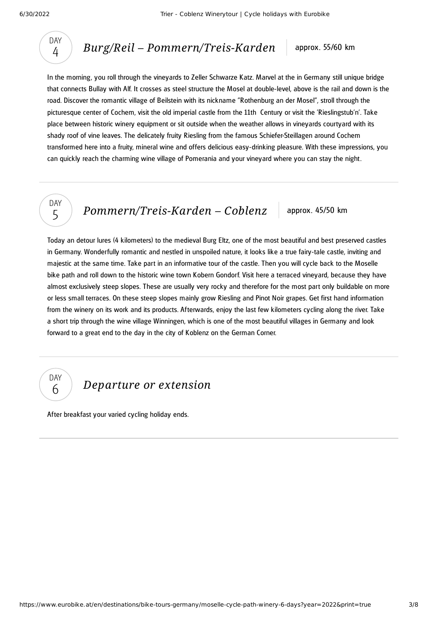

*Burg/Reil – [Pommern/Treis-Karden](#page-2-0)* approx. 55/60 km

<span id="page-2-0"></span>In the morning , you roll through the vineyards to Zeller Schwarze Katz. Marvel at the in Germany still unique bridge that connects Bullay with Alf. It crosses as steel structure the Mosel at double-level, above is the rail and down is the road. Discover the romantic village of Beilstein with its nickname "Rothenburg an der Mosel", stroll through the picturesque center of Cochem, visit the old imperial castle from the 11th Century or visit the 'Rieslingstub'n'. Take place between historic winery equipment or sit outside when the weather allows in vineyards courtyard with its shady roof of vine leaves. The delicately fruity Riesling from the famous Schiefer-Steillagen around Cochem transformed here into a fruity, mineral wine and offers delicious easy-drinking pleasure. With these impressions, you can quickly reach the charming wine village of Pomerania and your vineyard where you can stay the night.



*[Pommern/Treis-Karden](#page-2-1)* – *Coblenz* approx. 45/50 km

<span id="page-2-1"></span>Today an detour lures (4 kilometers) to the medieval Burg Eltz, one of the most beautiful and best preserved castles in Germany. Wonderfully romantic and nestled in unspoiled nature, it looks like a true fairy-tale castle, inviting and majestic at the same time. Take part in an informative tour of the castle. Then you will cycle back to the Moselle bike path and roll down to the historic wine town Kobern Gondorf. Visit here a terraced vineyard, because they have almost exclusively steep slopes. These are usually very rocky and therefore for the most part only buildable on more or less small terraces. On these steep slopes mainly grow Riesling and Pinot Noir grapes. Get first hand information from the winery on its work and its products. Afterwards, enjoy the last few kilometers cycling along the river. Take a short trip through the wine village Winningen, which is one of the most beautiful villages in Germany and look forward to a great end to the day in the city of Koblenz on the German Corner.

DAY 6

*[Departure](#page-2-2) or extension*

<span id="page-2-2"></span>After breakfast your varied cycling holiday ends.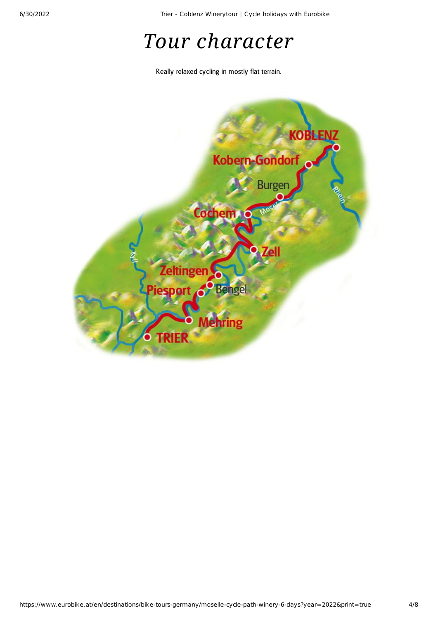6/30/2022 Trier - Coblenz Winerytour | Cycle holidays with Eurobike

# *Tour character*

Really relaxed cycling in mostly flat terrain.

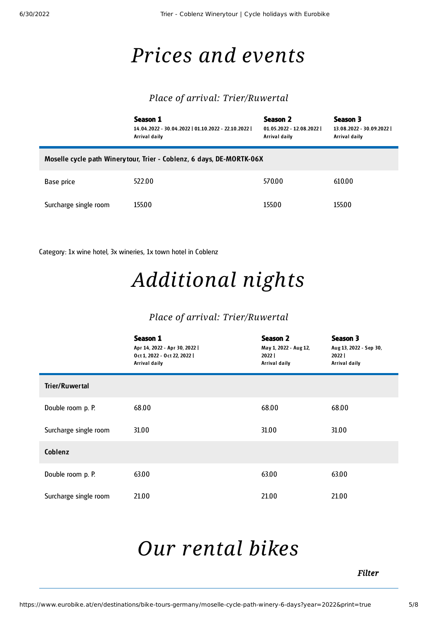### *Prices and events*

#### *Place of arrival: Trier/Ruwertal*

|                                                                      | Season 1<br>14.04.2022 - 30.04.2022   01.10.2022 - 22.10.2022  <br>Arrival daily | Season 2<br>01.05.2022 - 12.08.2022  <br>Arrival daily | Season 3<br>13.08.2022 - 30.09.2022  <br>Arrival daily |  |  |
|----------------------------------------------------------------------|----------------------------------------------------------------------------------|--------------------------------------------------------|--------------------------------------------------------|--|--|
| Moselle cycle path Winerytour, Trier - Coblenz, 6 days, DE-MORTK-06X |                                                                                  |                                                        |                                                        |  |  |
| Base price                                                           | 522.00                                                                           | 570.00                                                 | 610.00                                                 |  |  |
| Surcharge single room                                                | 155.00                                                                           | 155.00                                                 | 155.00                                                 |  |  |

Category: 1x wine hotel, 3x wineries, 1x town hotel in Coblenz

# *Additional nights*

#### *Place of arrival: Trier/Ruwertal*

|                       | Season 1<br>Apr 14, 2022 - Apr 30, 2022  <br>Oct 1, 2022 - Oct 22, 2022  <br>Arrival daily | <b>Season 2</b><br>May 1, 2022 - Aug 12,<br>2022<br>Arrival daily | Season 3<br>Aug 13, 2022 - Sep 30,<br>$2022$  <br>Arrival daily |
|-----------------------|--------------------------------------------------------------------------------------------|-------------------------------------------------------------------|-----------------------------------------------------------------|
| <b>Trier/Ruwertal</b> |                                                                                            |                                                                   |                                                                 |
| Double room p. P.     | 68.00                                                                                      | 68.00                                                             | 68.00                                                           |
| Surcharge single room | 31.00                                                                                      | 31.00                                                             | 31.00                                                           |
| Coblenz               |                                                                                            |                                                                   |                                                                 |
| Double room p. P.     | 63.00                                                                                      | 63.00                                                             | 63.00                                                           |
| Surcharge single room | 21.00                                                                                      | 21.00                                                             | 21.00                                                           |

### <span id="page-4-0"></span>*Our [rental](#page-4-0) bikes*

*Filter*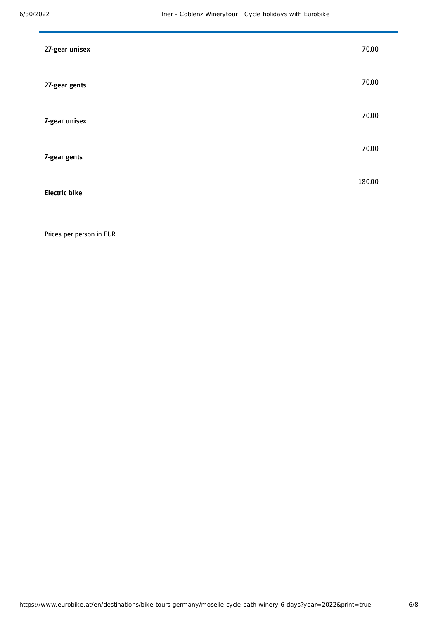| 27-gear unisex       | 70.00  |
|----------------------|--------|
| 27-gear gents        | 70.00  |
| 7-gear unisex        | 70.00  |
| 7-gear gents         | 70.00  |
| <b>Electric bike</b> | 180.00 |

Prices per person in EUR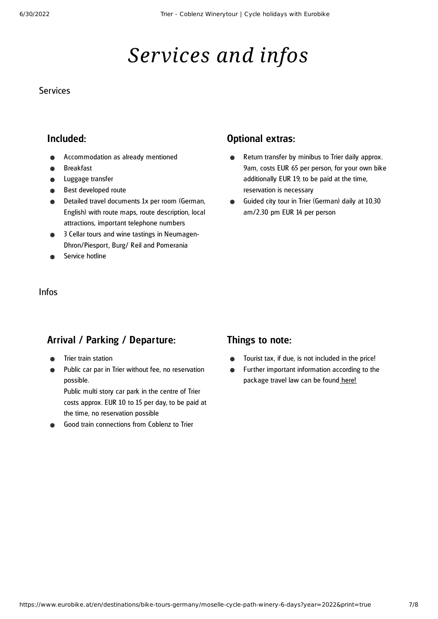# *Services and infos*

#### **Services**

### Included:

- Accommodation as already mentioned
- Breakfast
- Luggage transfer
- Best developed route
- Detailed travel documents 1x per room (German, English) with route maps, route description, local attractions, important telephone numbers
- 3 Cellar tours and wine tastings in Neumagen- $\bullet$ Dhron/Piesport, Burg/ Reil and Pomerania
- Service hotline

#### Infos

### Arrival / Parking / Departure:

- Trier train station
- Public car par in Trier without fee, no reservation possible.

Public multi story car park in the centre of Trier costs approx. EUR 10 to 15 per day, to be paid at the time, no reservation possible

Good train connections from Coblenz to Trier

### Optional extras:

- Return transfer by minibus to Trier daily approx.  $\bullet$ 9am, costs EUR 65 per person, for your own bike additionally EUR 19, to be paid at the time, reservation is necessary
- Guided city tour in Trier (German) daily at 10.30  $\bullet$ am/2.30 pm EUR 14 per person

#### Things to note:

- Tourist tax, if due, is not included in the price!
- Further important information according to the  $\bullet$ package travel law can be found [here](https://www.eurobike.at/en/travel-information/before-the-tour/pci)!